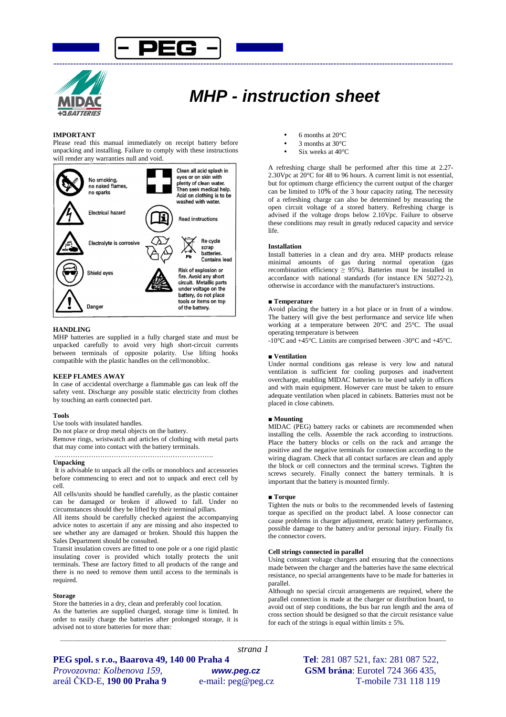



# **MHP - instruction sheet**

# **IMPORTANT**

Please read this manual immediately on receipt battery before unpacking and installing. Failure to comply with these instructions will render any warranties null and void.



# **HANDLING**

MHP batteries are supplied in a fully charged state and must be unpacked carefully to avoid very high short-circuit currents between terminals of opposite polarity. Use lifting hooks compatible with the plastic handles on the cell/monobloc.

# **KEEP FLAMES AWAY**

In case of accidental overcharge a flammable gas can leak off the safety vent. Discharge any possible static electricity from clothes by touching an earth connected part.

## **Tools**

Use tools with insulated handles.

Do not place or drop metal objects on the battery.

Remove rings, wristwatch and articles of clothing with metal parts that may come into contact with the battery terminals.

## **Unpacking**

 It is advisable to unpack all the cells or monoblocs and accessories before commencing to erect and not to unpack and erect cell by cell.

All cells/units should be handled carefully, as the plastic container can be damaged or broken if allowed to fall. Under no circumstances should they be lifted by their terminal pillars.

All items should be carefully checked against the accompanying advice notes to ascertain if any are missing and also inspected to see whether any are damaged or broken. Should this happen the Sales Department should be consulted.

Transit insulation covers are fitted to one pole or a one rigid plastic insulating cover is provided which totally protects the unit terminals. These are factory fitted to all products of the range and there is no need to remove them until access to the terminals is required.

### **Storage**

Store the batteries in a dry, clean and preferably cool location. As the batteries are supplied charged, storage time is limited. In order to easily charge the batteries after prolonged storage, it is advised not to store batteries for more than:

- 6 months at  $20^{\circ}$ C
- 3 months at 30°C
- Six weeks at 40°C

A refreshing charge shall be performed after this time at 2.27- 2.30Vpc at  $20^{\circ}$ C for 48 to 96 hours. A current limit is not essential. but for optimum charge efficiency the current output of the charger can be limited to 10% of the 3 hour capacity rating. The necessity of a refreshing charge can also be determined by measuring the open circuit voltage of a stored battery. Refreshing charge is advised if the voltage drops below 2.10Vpc. Failure to observe these conditions may result in greatly reduced capacity and service life.

### **Installation**

Install batteries in a clean and dry area. MHP products release minimal amounts of gas during normal operation (gas recombination efficiency  $\geq$  95%). Batteries must be installed in accordance with national standards (for instance EN 50272-2), otherwise in accordance with the manufacturer's instructions.

### **■ Temperature**

Avoid placing the battery in a hot place or in front of a window. The battery will give the best performance and service life when working at a temperature between 20°C and 25°C. The usual operating temperature is between

-10°C and +45°C. Limits are comprised between -30°C and +45°C.

### **■ Ventilation**

Under normal conditions gas release is very low and natural ventilation is sufficient for cooling purposes and inadvertent overcharge, enabling MIDAC batteries to be used safely in offices and with main equipment. However care must be taken to ensure adequate ventilation when placed in cabinets. Batteries must not be placed in close cabinets.

### ■ **Mounting**

MIDAC (PEG) battery racks or cabinets are recommended when installing the cells. Assemble the rack according to instructions. Place the battery blocks or cells on the rack and arrange the positive and the negative terminals for connection according to the wiring diagram. Check that all contact surfaces are clean and apply the block or cell connectors and the terminal screws. Tighten the screws securely. Finally connect the battery terminals. It is important that the battery is mounted firmly.

# ■ **Torque**

*---------------------------------------------------------------------------------------------------------------------------------------------------------------------------------------------------------------------------------- strana 1* 

Tighten the nuts or bolts to the recommended levels of fastening torque as specified on the product label. A loose connector can cause problems in charger adjustment, erratic battery performance, possible damage to the battery and/or personal injury. Finally fix the connector covers.

#### **Cell strings connected in parallel**

Using constant voltage chargers and ensuring that the connections made between the charger and the batteries have the same electrical resistance, no special arrangements have to be made for batteries in parallel.

Although no special circuit arrangements are required, where the parallel connection is made at the charger or distribution board, to avoid out of step conditions, the bus bar run length and the area of cross section should be designed so that the circuit resistance value for each of the strings is equal within limits  $\pm$  5%.

**PEG spol. s r.o., Baarova 49, 140 00 Praha 4 Tel**: 281 087 521, fax: 281 087 522, *Provozovna: Kolbenova 159,* **www.peg.cz GSM brána**: Eurotel 724 366 435, areál ČKD-E, **190 00 Praha 9** e-mail: peg@peg.cz T-mobile 731 118 119